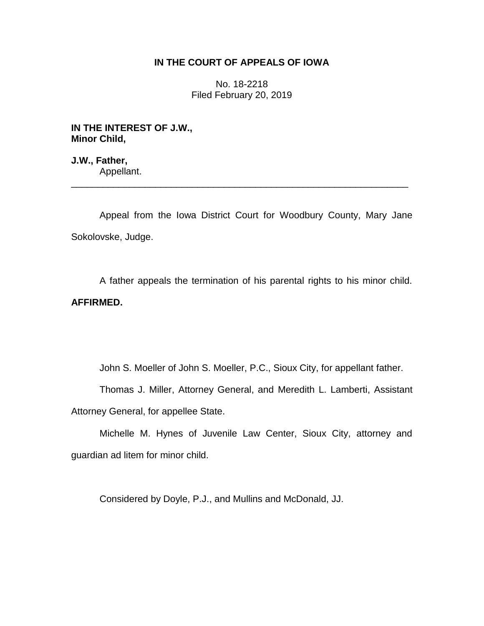## **IN THE COURT OF APPEALS OF IOWA**

No. 18-2218 Filed February 20, 2019

**IN THE INTEREST OF J.W., Minor Child,**

**J.W., Father,** Appellant.

Appeal from the Iowa District Court for Woodbury County, Mary Jane Sokolovske, Judge.

\_\_\_\_\_\_\_\_\_\_\_\_\_\_\_\_\_\_\_\_\_\_\_\_\_\_\_\_\_\_\_\_\_\_\_\_\_\_\_\_\_\_\_\_\_\_\_\_\_\_\_\_\_\_\_\_\_\_\_\_\_\_\_\_

A father appeals the termination of his parental rights to his minor child. **AFFIRMED.** 

John S. Moeller of John S. Moeller, P.C., Sioux City, for appellant father.

Thomas J. Miller, Attorney General, and Meredith L. Lamberti, Assistant Attorney General, for appellee State.

Michelle M. Hynes of Juvenile Law Center, Sioux City, attorney and guardian ad litem for minor child.

Considered by Doyle, P.J., and Mullins and McDonald, JJ.